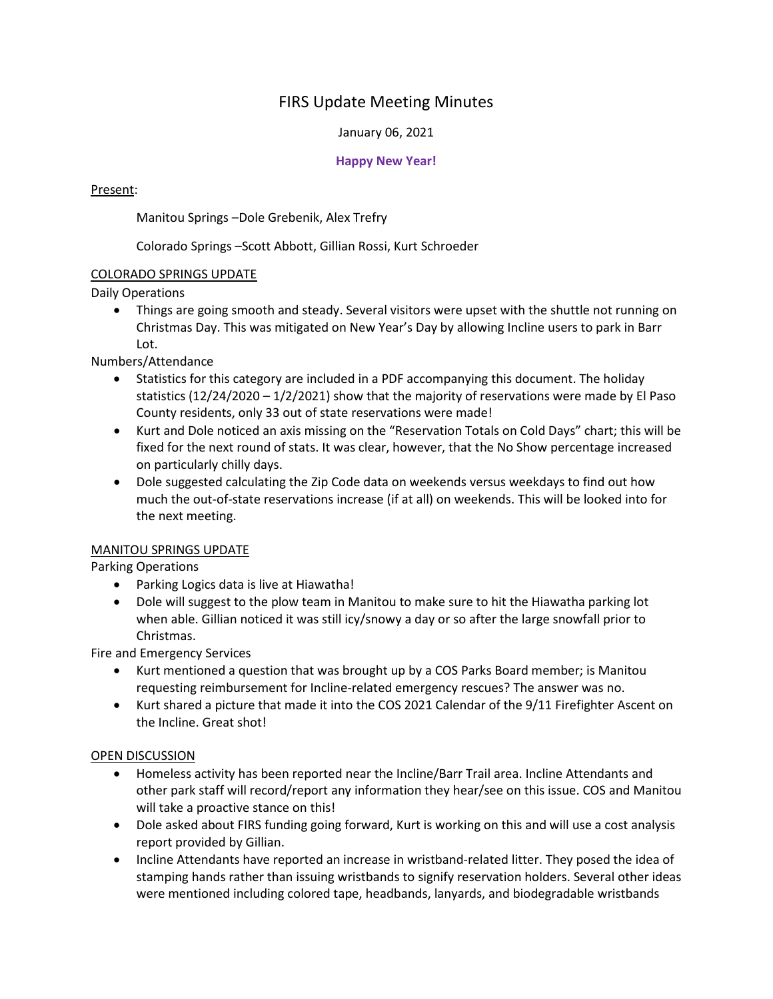# FIRS Update Meeting Minutes

#### January 06, 2021

### **Happy New Year!**

### Present:

Manitou Springs –Dole Grebenik, Alex Trefry

Colorado Springs –Scott Abbott, Gillian Rossi, Kurt Schroeder

### COLORADO SPRINGS UPDATE

Daily Operations

• Things are going smooth and steady. Several visitors were upset with the shuttle not running on Christmas Day. This was mitigated on New Year's Day by allowing Incline users to park in Barr Lot.

Numbers/Attendance

- Statistics for this category are included in a PDF accompanying this document. The holiday statistics  $(12/24/2020 - 1/2/2021)$  show that the majority of reservations were made by El Paso County residents, only 33 out of state reservations were made!
- Kurt and Dole noticed an axis missing on the "Reservation Totals on Cold Days" chart; this will be fixed for the next round of stats. It was clear, however, that the No Show percentage increased on particularly chilly days.
- Dole suggested calculating the Zip Code data on weekends versus weekdays to find out how much the out-of-state reservations increase (if at all) on weekends. This will be looked into for the next meeting.

#### MANITOU SPRINGS UPDATE

Parking Operations

- Parking Logics data is live at Hiawatha!
- Dole will suggest to the plow team in Manitou to make sure to hit the Hiawatha parking lot when able. Gillian noticed it was still icy/snowy a day or so after the large snowfall prior to Christmas.

Fire and Emergency Services

- Kurt mentioned a question that was brought up by a COS Parks Board member; is Manitou requesting reimbursement for Incline-related emergency rescues? The answer was no.
- Kurt shared a picture that made it into the COS 2021 Calendar of the 9/11 Firefighter Ascent on the Incline. Great shot!

## OPEN DISCUSSION

- Homeless activity has been reported near the Incline/Barr Trail area. Incline Attendants and other park staff will record/report any information they hear/see on this issue. COS and Manitou will take a proactive stance on this!
- Dole asked about FIRS funding going forward, Kurt is working on this and will use a cost analysis report provided by Gillian.
- Incline Attendants have reported an increase in wristband-related litter. They posed the idea of stamping hands rather than issuing wristbands to signify reservation holders. Several other ideas were mentioned including colored tape, headbands, lanyards, and biodegradable wristbands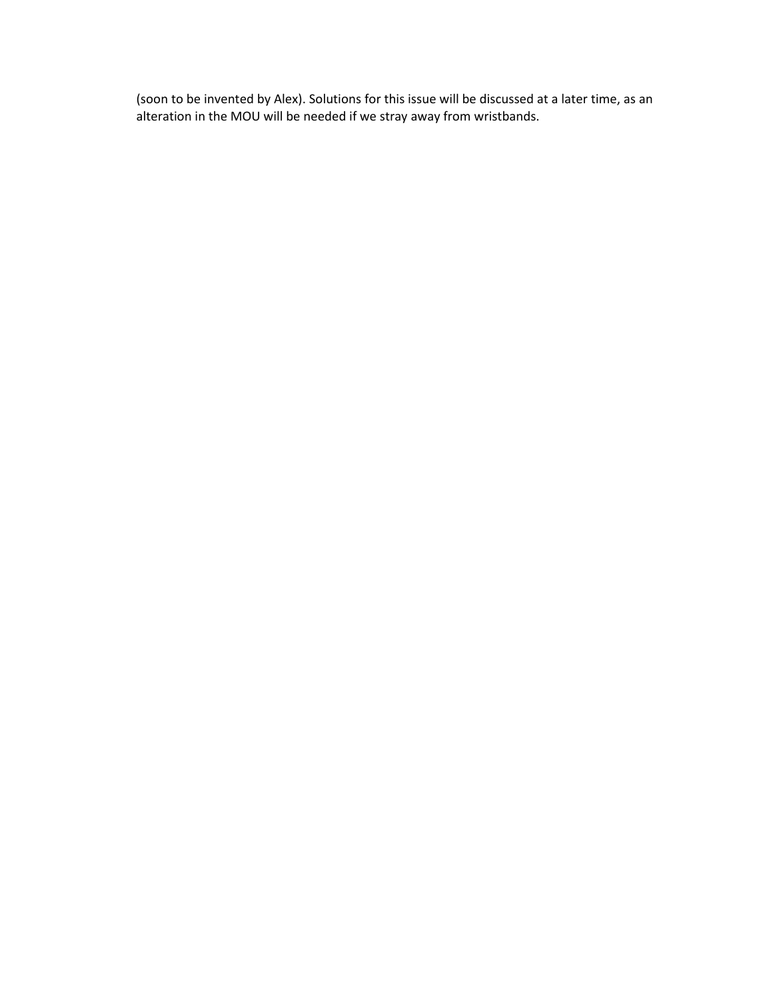(soon to be invented by Alex). Solutions for this issue will be discussed at a later time, as an alteration in the MOU will be needed if we stray away from wristbands.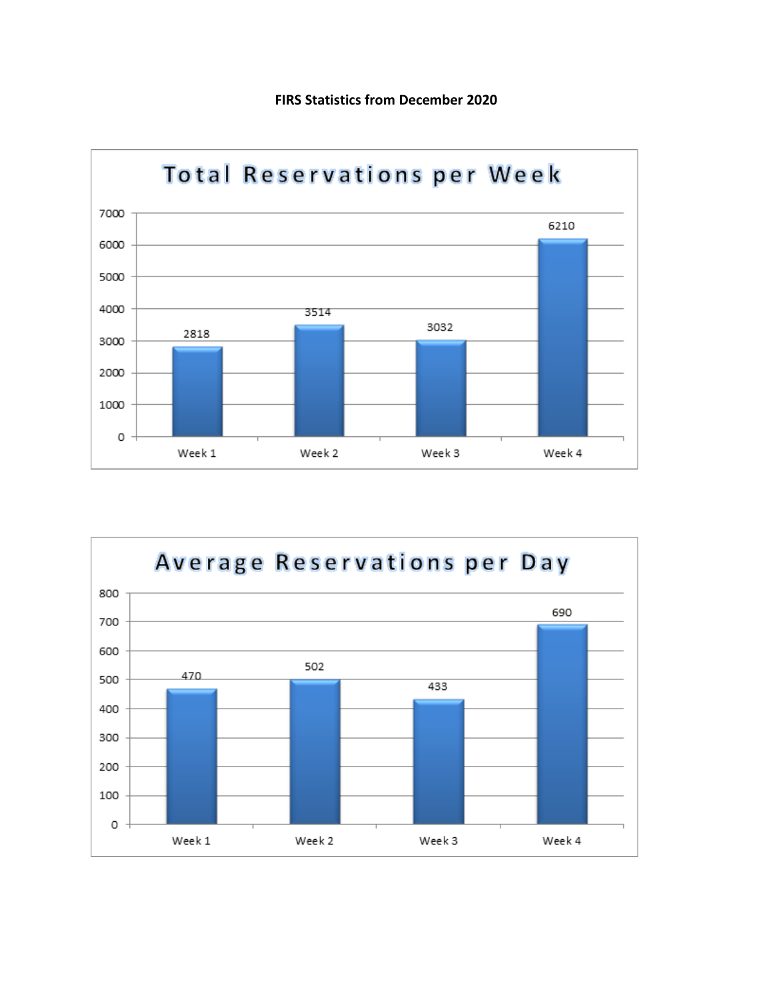



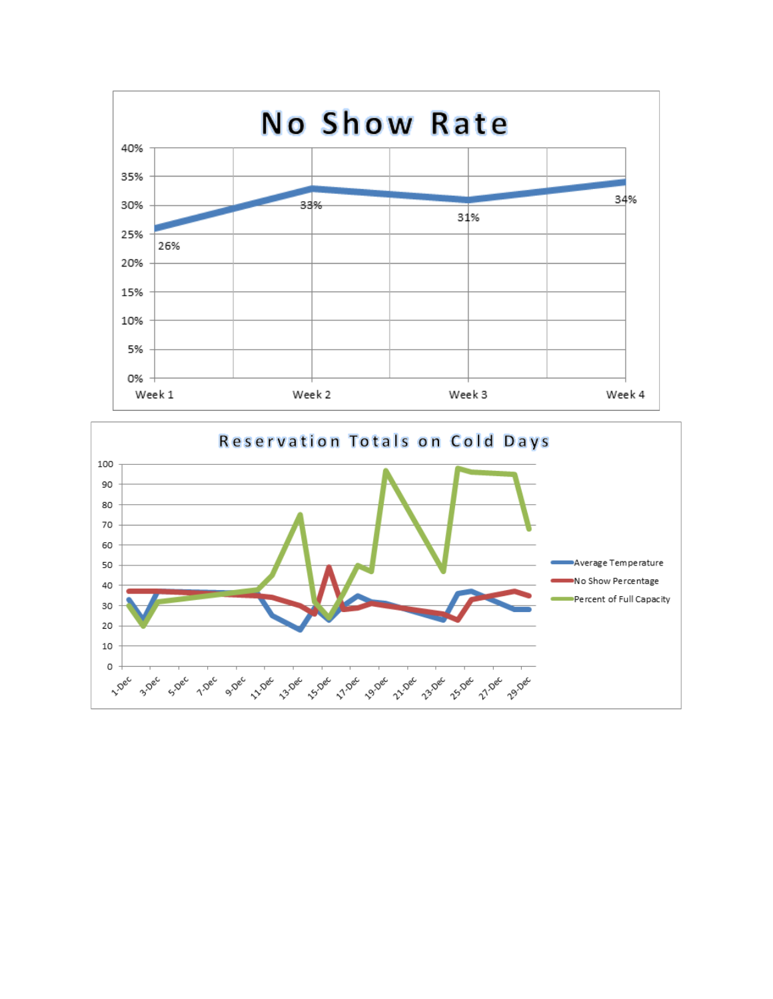

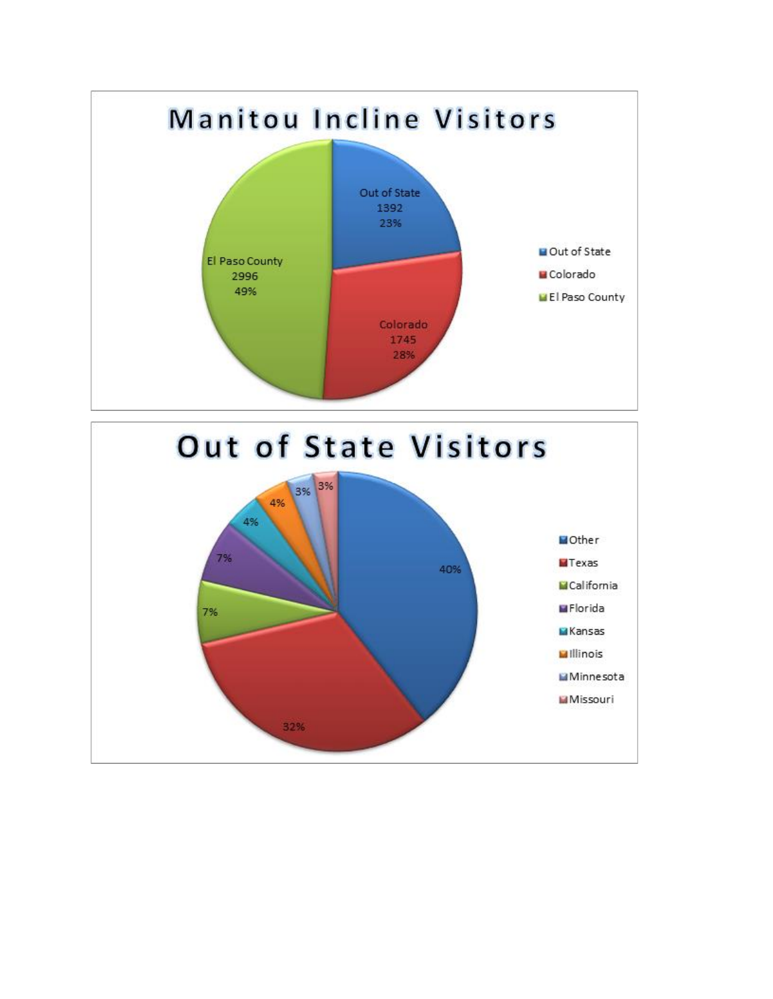